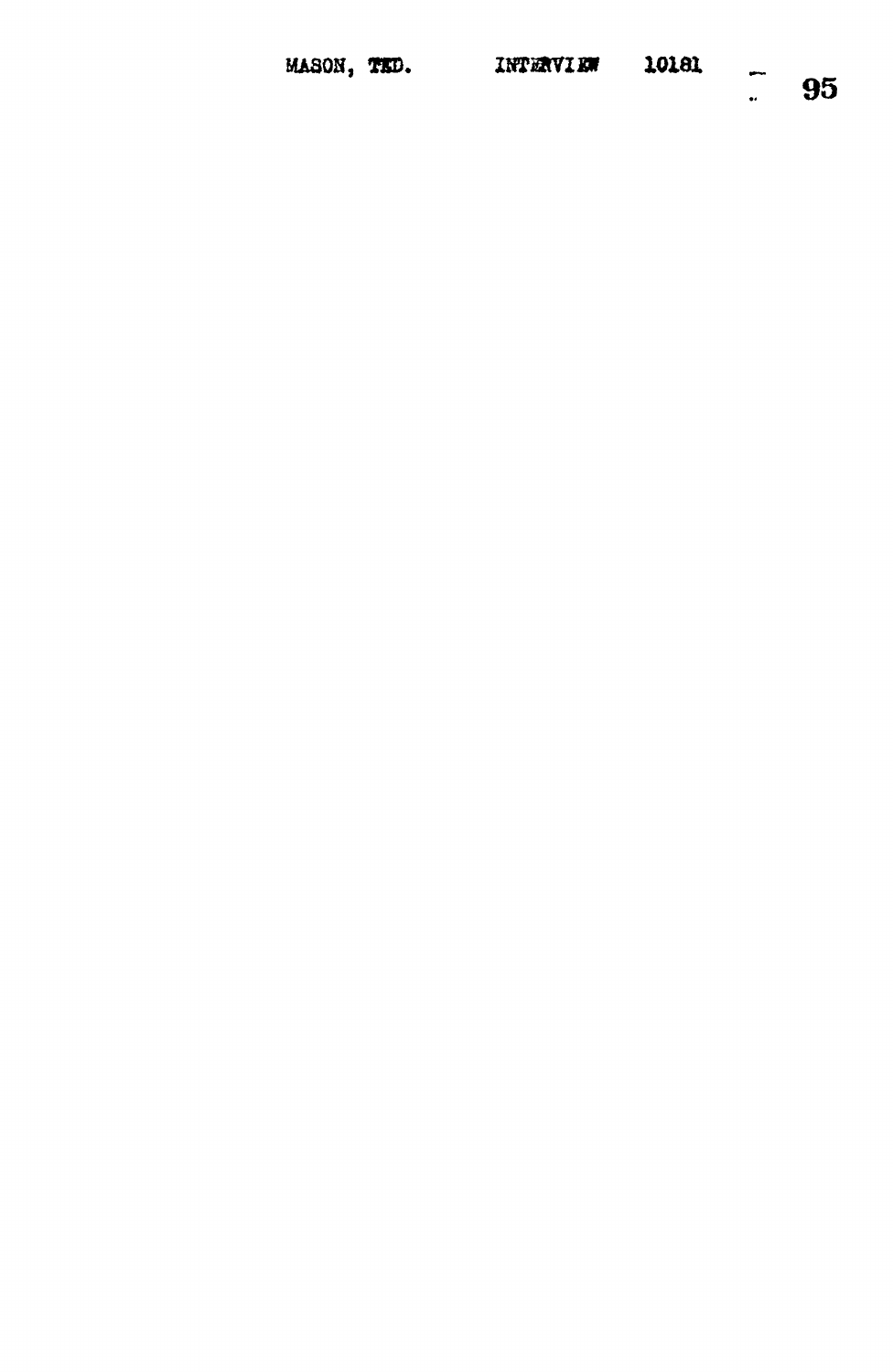| MASON, TED. | <b>INTERVIEW</b> | <b>10181</b> | <b>Address</b> |    |
|-------------|------------------|--------------|----------------|----|
|             |                  |              |                | 95 |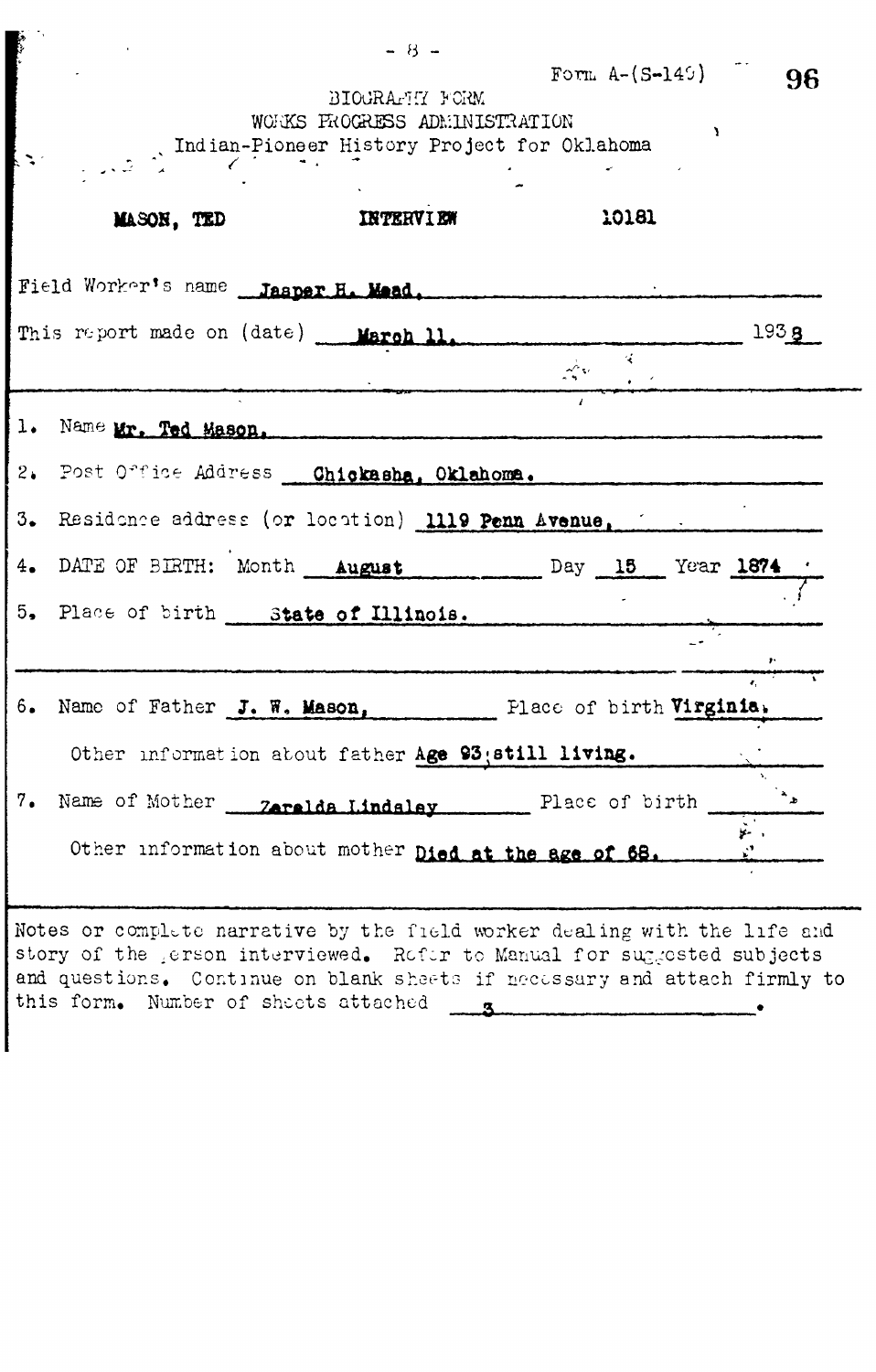|                                                                           | $-8 -$<br>BIOGRAFHY FORM<br>WORKS PROGRESS ADMINISTRATION<br>Indian-Pioneer History Project for Oklahoma | Form $A - (S - 145)$                          | 96<br>A. |
|---------------------------------------------------------------------------|----------------------------------------------------------------------------------------------------------|-----------------------------------------------|----------|
| MASON, TED                                                                | <b>INTERVIEW</b>                                                                                         | 10181                                         |          |
| Field Worker's name Jasper H. Mead.                                       |                                                                                                          |                                               |          |
| This report made on (date) March 11.                                      |                                                                                                          | $\mathcal{A}^{\mathcal{A}}$<br>$\mathbb{R}^n$ | 193g     |
| 1. Name Mr. Ted Mason.                                                    |                                                                                                          |                                               |          |
| 2. Post Office Address Chickasha, Oklahoma.                               |                                                                                                          |                                               |          |
| 3. Residence address (or location) 1119 Penn Avenue,                      |                                                                                                          |                                               |          |
| 4. DATE OF BIRTH: Month August Day 15 Year 1874                           |                                                                                                          |                                               |          |
|                                                                           |                                                                                                          |                                               |          |
|                                                                           |                                                                                                          |                                               |          |
| 6. Name of Father J. W. Mason, Place of birth Virginia,                   |                                                                                                          |                                               |          |
| Other information about father Age 93; still living.                      |                                                                                                          |                                               |          |
| Name of Mother<br>7.                                                      | . Zaralda Lindalay                                                                                       | Place of birth                                |          |
| Other information about mother Died at the age of 68.                     |                                                                                                          |                                               | ķ.,      |
| Notes or complete narrative by the field worker dealing with the life and |                                                                                                          |                                               |          |

story of the  $_4$ erson interviewed. Refor to Manual for su $_\mathrm{c,c}$ ested subjects and questions. Continue on blank sheets if necessary and attach firmly to this form. Number of sheets attached 3 3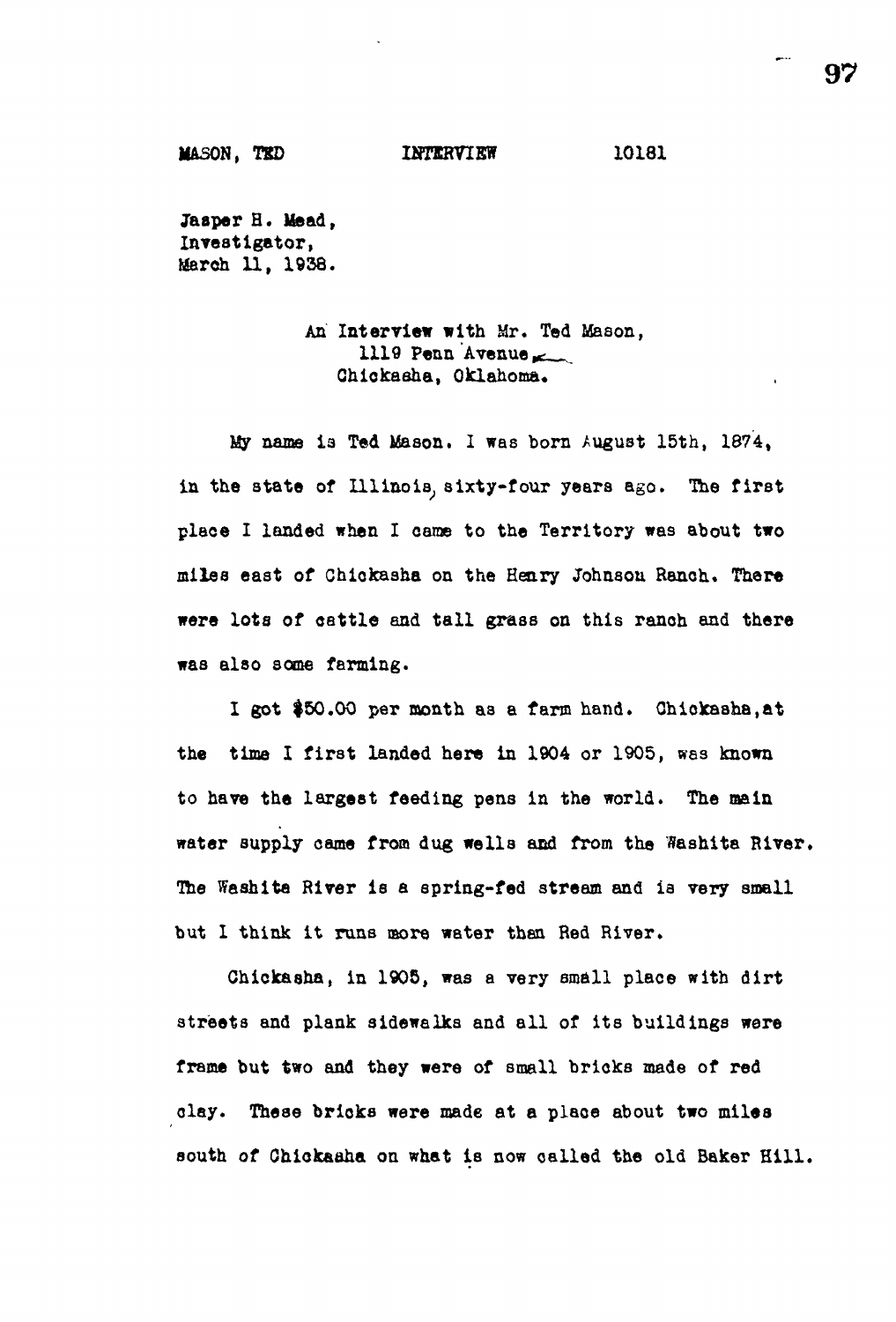**Jasper H. Mead, Investigator, Kerch 11, 1938.**

> **An Interview with Mr. Ted Mason, 1119 Penn Avenue** *\*.* **Chickasha, Oklahoma.**

**My name i3 Ted Mason. I was born August 15th, 1874, in the state of Illinois, sixty-four years ago. The first place I landed when I came to the Territory was about two miles east of Chickasha on the Henry Johnson Ranch. There were lots of cattle and tall grass on this ranoh and there was also some farming.**

I got \$50.00 per month as a farm hand. Chickasha.at **the time I first landed here in 1904 or 1905, was known to have the largest feeding pens in the world. The main water supply came from dug wells and from the Washita River. The Washita River is a spring-fed stream and ia very small but I think it runs more water then Red River.**

**Chickasha, in 1905, was a very small place with dirt streets and plank sidewalks and all of its buildings were frame but two and they were of small bricks made of red clay. These bricks were made at a place about two miles south of Chickaaha on what is now called the old Baker Hill.**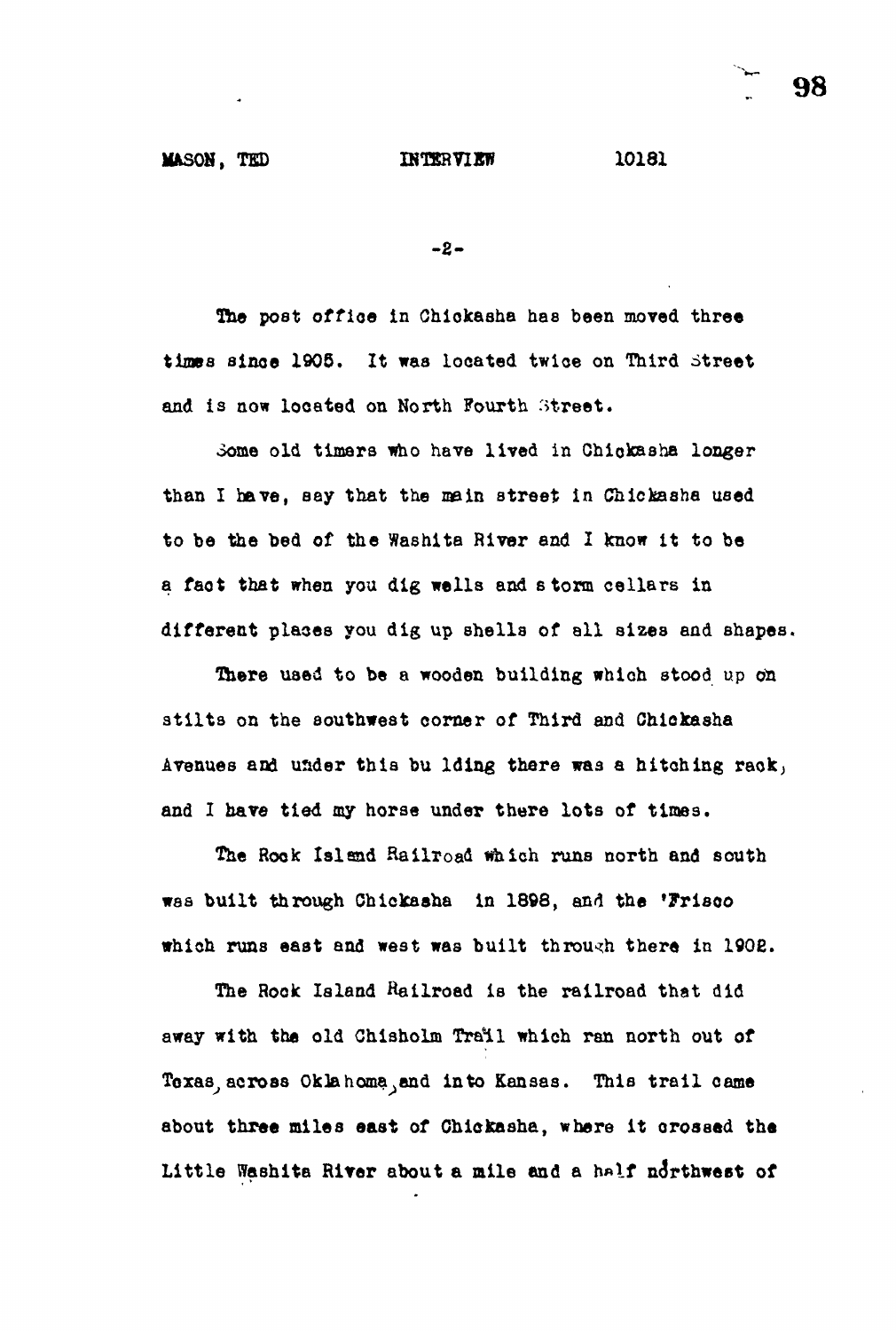## **- 2-**

**Tbe post office in Ohiokasha has been moved three times since 1905. It was located twice on Third street** and is now located on North Fourth Street.

**Some old timers who have lived in Ohiokasha longer than I have, Bay that the main street in Chic kasha used to be the bed of the Washita River and I know it to be a faot that when you dig wells and storm cellars in different places you dig up shells of all sizes and shapes.**

**There uaed to be a wooden building which stood up on stilts on the southwest corner of Third and Chiokasha** Avenues and under this bu lding there was a hitching raok, **and I have tied my horse under there lots of times.**

**The Rook Island Railroad which runs north and south was built through Cbickaaha in 1898, and the '?risoo which runs east and west was built through there in 1908.**

**The Hook Island Hailroad is the railroad that did away with the old Chisholm Trail which ran north out of** Texas, across Oklahoma<sub>,</sub> and into Kansas. This trail came **about three miles east of Chickasha, where it oroased the** Little Washita River about a mile and a half northwest of

**: 98**